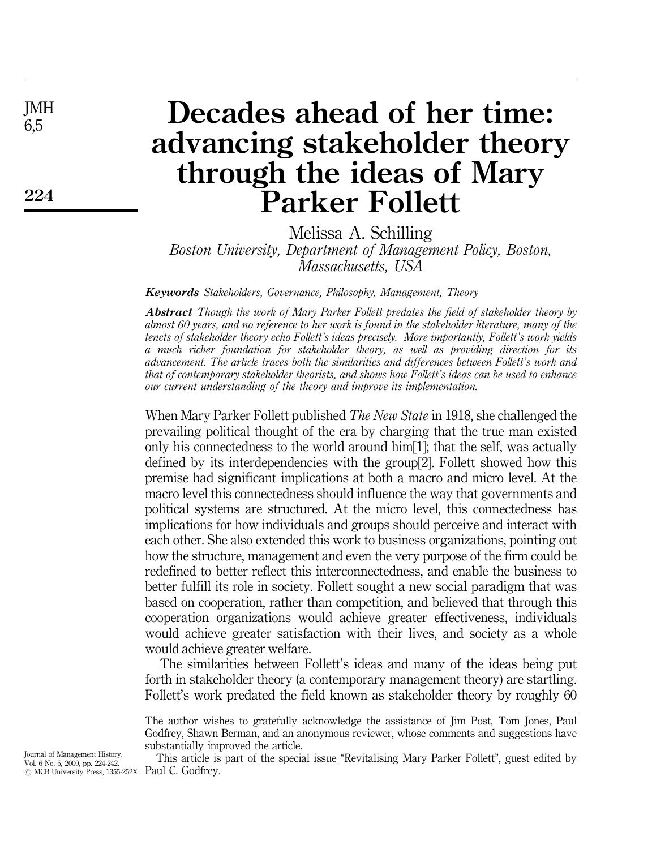**IMH** 6.5

224

# Decades ahead of her time: advancing stakeholder theory through the ideas of Mary **Parker Follett**

Melissa A. Schilling

Boston University, Department of Management Policy, Boston, Massachusetts, USA

Keywords Stakeholders, Governance, Philosophy, Management, Theory

**Abstract** Though the work of Mary Parker Follett predates the field of stakeholder theory by almost 60 years, and no reference to her work is found in the stakeholder literature, many of the tenets of stakeholder theory echo Follett's ideas precisely. More importantly, Follett's work yields a much richer foundation for stakeholder theory, as well as providing direction for its advancement. The article traces both the similarities and differences between Follett's work and that of contemporary stakeholder theorists, and shows how Follett's ideas can be used to enhance our current understanding of the theory and improve its implementation.

When Mary Parker Follett published *The New State* in 1918, she challenged the prevailing political thought of the era by charging that the true man existed only his connectedness to the world around him. The that the self, was actually defined by its interdependencies with the group[2]. Follett showed how this premise had significant implications at both a macro and micro level. At the macro level this connectedness should influence the way that governments and political systems are structured. At the micro level, this connectedness has implications for how individuals and groups should perceive and interact with each other. She also extended this work to business organizations, pointing out how the structure, management and even the very purpose of the firm could be redefined to better reflect this interconnectedness, and enable the business to better fulfill its role in society. Follett sought a new social paradigm that was based on cooperation, rather than competition, and believed that through this cooperation organizations would achieve greater effectiveness, individuals would achieve greater satisfaction with their lives, and society as a whole would achieve greater welfare.

The similarities between Follett's ideas and many of the ideas being put forth in stakeholder theory (a contemporary management theory) are startling. Follett's work predated the field known as stakeholder theory by roughly 60

Journal of Management History, Vol. 6 No. 5, 2000, pp. 224-242.

The author wishes to gratefully acknowledge the assistance of Jim Post, Tom Jones, Paul Godfrey, Shawn Berman, and an anonymous reviewer, whose comments and suggestions have substantially improved the article.

This article is part of the special issue "Revitalising Mary Parker Follett", guest edited by © MCB University Press, 1355-252X Paul C. Godfrey.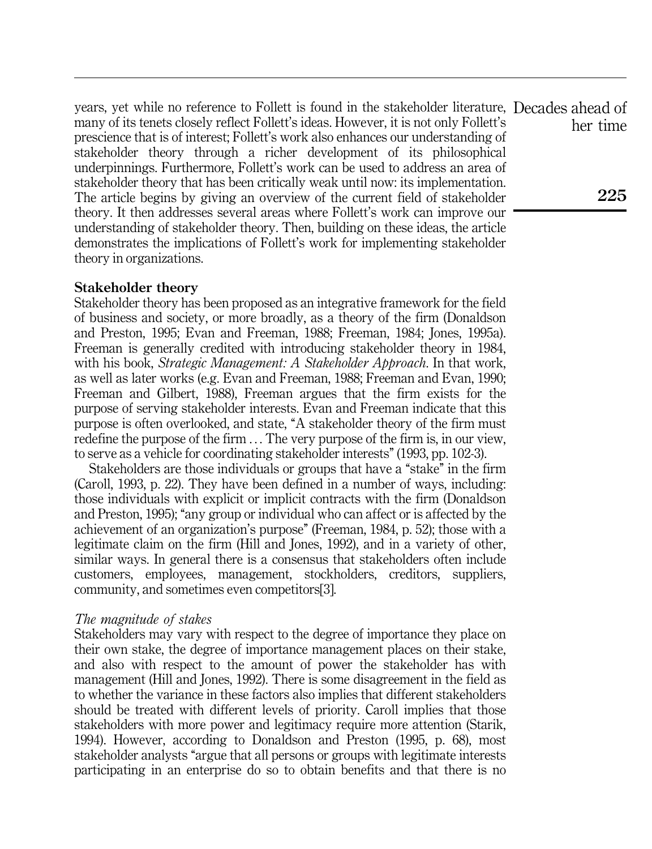years, yet while no reference to Follett is found in the stakeholder literature. Decades ahead of many of its tenets closely reflect Follett's ideas. However, it is not only Follett's prescience that is of interest; Follett's work also enhances our understanding of stakeholder theory through a richer development of its philosophical underpinnings. Furthermore, Follett's work can be used to address an area of stakeholder theory that has been critically weak until now: its implementation. The article begins by giving an overview of the current field of stakeholder theory. It then addresses several areas where Follett's work can improve our understanding of stakeholder theory. Then, building on these ideas, the article demonstrates the implications of Follett's work for implementing stakeholder theory in organizations.

## **Stakeholder theory**

Stakeholder theory has been proposed as an integrative framework for the field of business and society, or more broadly, as a theory of the firm (Donaldson and Preston, 1995; Evan and Freeman, 1988; Freeman, 1984; Jones, 1995a). Freeman is generally credited with introducing stakeholder theory in 1984, with his book, Strategic Management: A Stakeholder Approach. In that work, as well as later works (e.g. Evan and Freeman, 1988; Freeman and Evan, 1990; Freeman and Gilbert, 1988), Freeman argues that the firm exists for the purpose of serving stakeholder interests. Evan and Freeman indicate that this purpose is often overlooked, and state, "A stakeholder theory of the firm must redefine the purpose of the firm ... The very purpose of the firm is, in our view, to serve as a vehicle for coordinating stakeholder interests" (1993, pp. 102-3).

Stakeholders are those individuals or groups that have a "stake" in the firm (Caroll, 1993, p. 22). They have been defined in a number of ways, including: those individuals with explicit or implicit contracts with the firm (Donaldson and Preston, 1995); "any group or individual who can affect or is affected by the achievement of an organization's purpose" (Freeman, 1984, p. 52); those with a legitimate claim on the firm (Hill and Jones, 1992), and in a variety of other, similar ways. In general there is a consensus that stakeholders often include customers, employees, management, stockholders, creditors, suppliers, community, and sometimes even competitors [3].

#### The magnitude of stakes

Stakeholders may vary with respect to the degree of importance they place on their own stake, the degree of importance management places on their stake, and also with respect to the amount of power the stakeholder has with management (Hill and Jones, 1992). There is some disagreement in the field as to whether the variance in these factors also implies that different stakeholders should be treated with different levels of priority. Caroll implies that those stakeholders with more power and legitimacy require more attention (Starik, 1994). However, according to Donaldson and Preston (1995, p. 68), most stakeholder analysts "argue that all persons or groups with legitimate interests participating in an enterprise do so to obtain benefits and that there is no

her time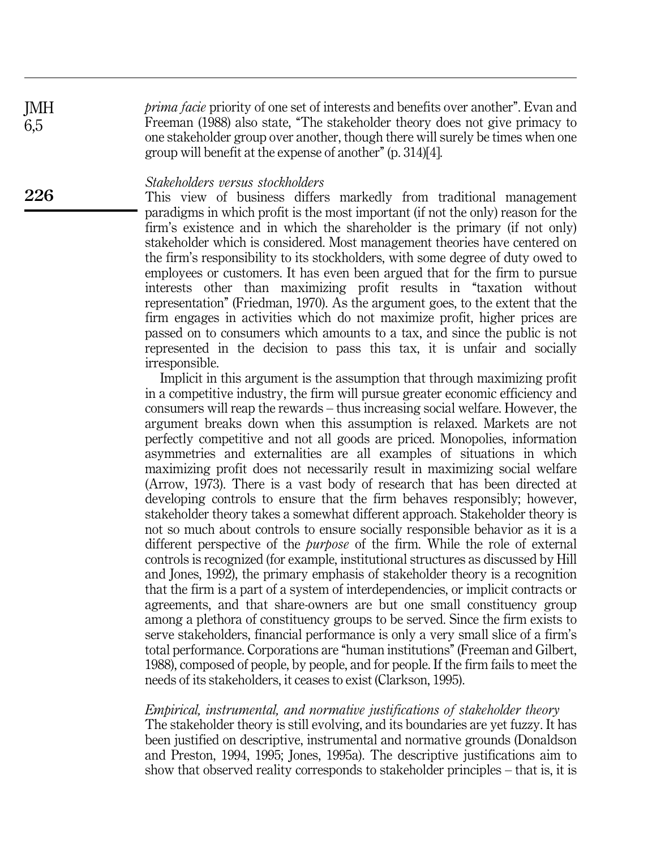**IMH** *brima facie* priority of one set of interests and benefits over another". Evan and Freeman (1988) also state, "The stakeholder theory does not give primacy to one stakeholder group over another, though there will surely be times when one group will benefit at the expense of another" (p. 314)[4].

## Stakeholders versus stockholders

6.5

226

This view of business differs markedly from traditional management paradigms in which profit is the most important (if not the only) reason for the firm's existence and in which the shareholder is the primary (if not only) stakeholder which is considered. Most management theories have centered on the firm's responsibility to its stockholders, with some degree of duty owed to employees or customers. It has even been argued that for the firm to pursue interests other than maximizing profit results in "taxation without representation" (Friedman, 1970). As the argument goes, to the extent that the firm engages in activities which do not maximize profit, higher prices are passed on to consumers which amounts to a tax, and since the public is not represented in the decision to pass this tax, it is unfair and socially irresponsible.

Implicit in this argument is the assumption that through maximizing profit in a competitive industry, the firm will pursue greater economic efficiency and consumers will reap the rewards – thus increasing social welfare. However, the argument breaks down when this assumption is relaxed. Markets are not perfectly competitive and not all goods are priced. Monopolies, information asymmetries and externalities are all examples of situations in which maximizing profit does not necessarily result in maximizing social welfare (Arrow, 1973). There is a vast body of research that has been directed at developing controls to ensure that the firm behaves responsibly; however, stakeholder theory takes a somewhat different approach. Stakeholder theory is not so much about controls to ensure socially responsible behavior as it is a different perspective of the *purpose* of the firm. While the role of external controls is recognized (for example, institutional structures as discussed by Hill and Jones, 1992), the primary emphasis of stakeholder theory is a recognition that the firm is a part of a system of interdependencies, or implicit contracts or agreements, and that share-owners are but one small constituency group among a plethora of constituency groups to be served. Since the firm exists to serve stakeholders, financial performance is only a very small slice of a firm's total performance. Corporations are "human institutions" (Freeman and Gilbert, 1988), composed of people, by people, and for people. If the firm fails to meet the needs of its stakeholders, it ceases to exist (Clarkson, 1995).

# Empirical, instrumental, and normative justifications of stakeholder theory

The stakeholder theory is still evolving, and its boundaries are yet fuzzy. It has been justified on descriptive, instrumental and normative grounds (Donaldson and Preston, 1994, 1995; Jones, 1995a). The descriptive justifications aim to show that observed reality corresponds to stakeholder principles – that is, it is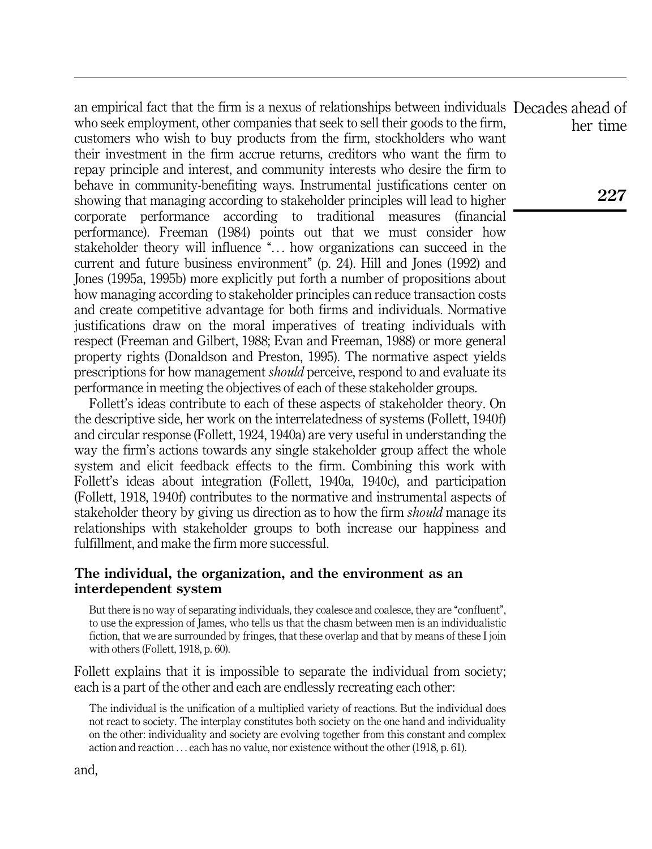an empirical fact that the firm is a nexus of relationships between individuals Decades ahead of who seek employment, other companies that seek to sell their goods to the firm, customers who wish to buy products from the firm, stockholders who want their investment in the firm accrue returns, creditors who want the firm to repay principle and interest, and community interests who desire the firm to behave in community-benefiting ways. Instrumental justifications center on showing that managing according to stakeholder principles will lead to higher corporate performance according to traditional measures (financial performance). Freeman (1984) points out that we must consider how stakeholder theory will influence "... how organizations can succeed in the current and future business environment" (p. 24). Hill and Jones (1992) and Jones (1995a, 1995b) more explicitly put forth a number of propositions about how managing according to stakeholder principles can reduce transaction costs and create competitive advantage for both firms and individuals. Normative justifications draw on the moral imperatives of treating individuals with respect (Freeman and Gilbert, 1988; Evan and Freeman, 1988) or more general property rights (Donaldson and Preston, 1995). The normative aspect yields prescriptions for how management *should* perceive, respond to and evaluate its performance in meeting the objectives of each of these stakeholder groups.

Follett's ideas contribute to each of these aspects of stakeholder theory. On the descriptive side, her work on the interrelatedness of systems (Follett, 1940f) and circular response (Follett, 1924, 1940a) are very useful in understanding the way the firm's actions towards any single stakeholder group affect the whole system and elicit feedback effects to the firm. Combining this work with Follett's ideas about integration (Follett, 1940a, 1940c), and participation (Follett, 1918, 1940f) contributes to the normative and instrumental aspects of stakeholder theory by giving us direction as to how the firm *should* manage its relationships with stakeholder groups to both increase our happiness and fulfillment, and make the firm more successful.

## The individual, the organization, and the environment as an interdependent system

But there is no way of separating individuals, they coalesce and coalesce, they are "confluent", to use the expression of James, who tells us that the chasm between men is an individualistic fiction, that we are surrounded by fringes, that these overlap and that by means of these I join with others (Follett, 1918, p. 60).

Follett explains that it is impossible to separate the individual from society; each is a part of the other and each are endlessly recreating each other:

The individual is the unification of a multiplied variety of reactions. But the individual does not react to society. The interplay constitutes both society on the one hand and individuality on the other: individuality and society are evolving together from this constant and complex action and reaction  $\dots$  each has no value, nor existence without the other (1918, p. 61).

her time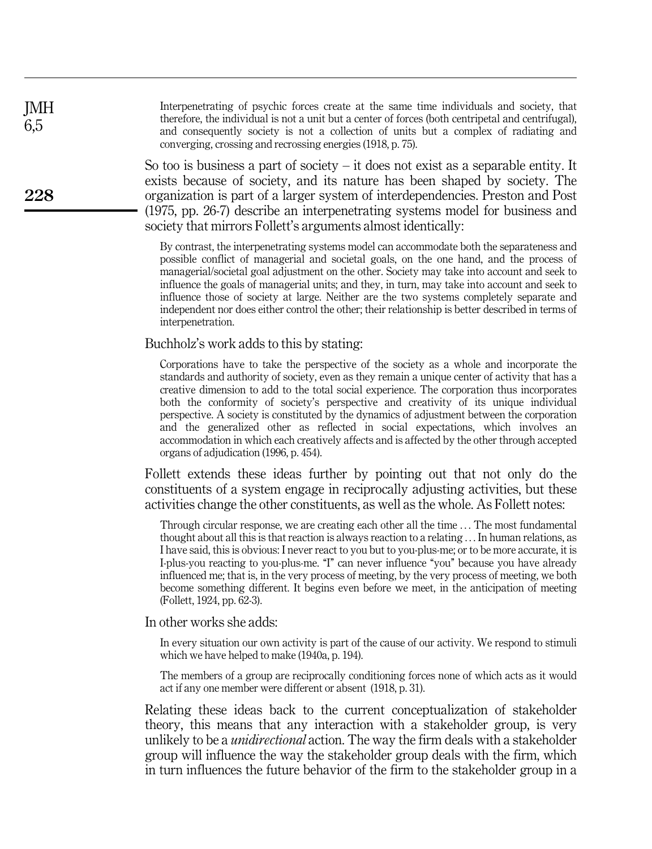**IMH** Interpenetrating of psychic forces create at the same time individuals and society, that therefore, the individual is not a unit but a center of forces (both centripetal and centrifugal). 6.5 and consequently society is not a collection of units but a complex of radiating and converging, crossing and recrossing energies (1918, p. 75). So too is business a part of society  $-$  it does not exist as a separable entity. It exists because of society, and its nature has been shaped by society. The 228 organization is part of a larger system of interdependencies. Preston and Post (1975, pp. 26-7) describe an interpenetrating systems model for business and society that mirrors Follett's arguments almost identically:

> By contrast, the interpenetrating systems model can accommodate both the separateness and possible conflict of managerial and societal goals, on the one hand, and the process of managerial/societal goal adjustment on the other. Society may take into account and seek to influence the goals of managerial units; and they, in turn, may take into account and seek to influence those of society at large. Neither are the two systems completely separate and independent nor does either control the other; their relationship is better described in terms of interpenetration.

#### Buchholz's work adds to this by stating:

Corporations have to take the perspective of the society as a whole and incorporate the standards and authority of society, even as they remain a unique center of activity that has a creative dimension to add to the total social experience. The corporation thus incorporates both the conformity of society's perspective and creativity of its unique individual perspective. A society is constituted by the dynamics of adjustment between the corporation and the generalized other as reflected in social expectations, which involves an accommodation in which each creatively affects and is affected by the other through accepted organs of adjudication (1996, p. 454).

Follett extends these ideas further by pointing out that not only do the constituents of a system engage in reciprocally adjusting activities, but these activities change the other constituents, as well as the whole. As Follett notes:

Through circular response, we are creating each other all the time ... The most fundamental thought about all this is that reaction is always reaction to a relating ... In human relations, as I have said, this is obvious: I never react to you but to you-plus-me; or to be more accurate, it is I-plus-you reacting to you-plus-me. "I" can never influence "you" because you have already influenced me; that is, in the very process of meeting, by the very process of meeting, we both become something different. It begins even before we meet, in the anticipation of meeting (Follett, 1924, pp. 62-3).

In other works she adds:

In every situation our own activity is part of the cause of our activity. We respond to stimuli which we have helped to make (1940a, p. 194).

The members of a group are reciprocally conditioning forces none of which acts as it would act if any one member were different or absent (1918, p. 31).

Relating these ideas back to the current conceptualization of stakeholder theory, this means that any interaction with a stakeholder group, is very unlikely to be a *unidirectional* action. The way the firm deals with a stakeholder group will influence the way the stakeholder group deals with the firm, which in turn influences the future behavior of the firm to the stakeholder group in a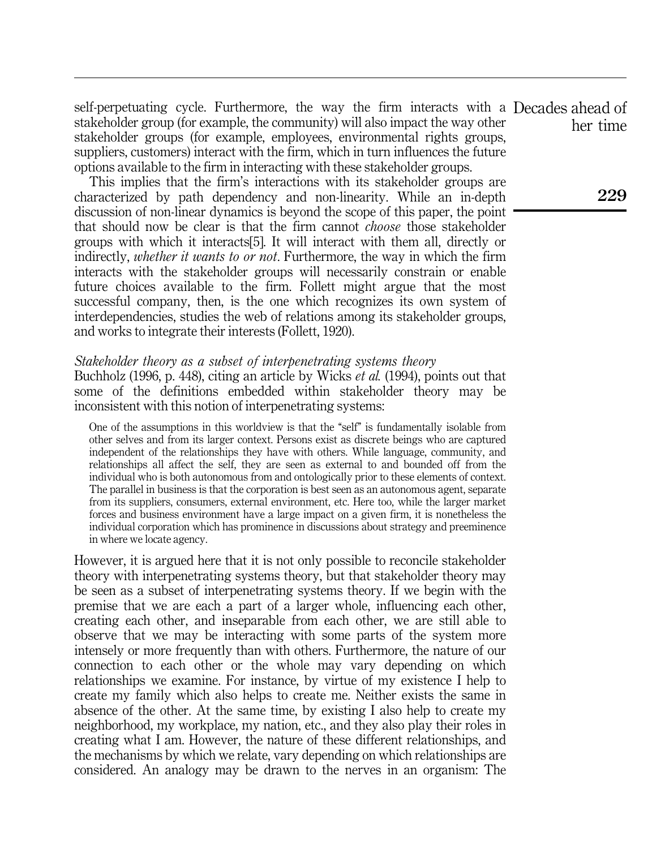self-perpetuating cycle. Furthermore, the way the firm interacts with a Decades ahead of stakeholder group (for example, the community) will also impact the way other her time stakeholder groups (for example, employees, environmental rights groups, suppliers, customers) interact with the firm, which in turn influences the future options available to the firm in interacting with these stakeholder groups.

This implies that the firm's interactions with its stakeholder groups are characterized by path dependency and non-linearity. While an in-depth discussion of non-linear dynamics is beyond the scope of this paper, the point that should now be clear is that the firm cannot *choose* those stakeholder groups with which it interacts [5]. It will interact with them all, directly or indirectly, whether it wants to or not. Furthermore, the way in which the firm interacts with the stakeholder groups will necessarily constrain or enable future choices available to the firm. Follett might argue that the most successful company, then, is the one which recognizes its own system of interdependencies, studies the web of relations among its stakeholder groups. and works to integrate their interests (Follett, 1920).

## Stakeholder theory as a subset of interpenetrating systems theory

Buchholz (1996, p. 448), citing an article by Wicks *et al.* (1994), points out that some of the definitions embedded within stakeholder theory may be inconsistent with this notion of interpenetrating systems:

One of the assumptions in this worldview is that the "self" is fundamentally isolable from other selves and from its larger context. Persons exist as discrete beings who are captured independent of the relationships they have with others. While language, community, and relationships all affect the self, they are seen as external to and bounded off from the individual who is both autonomous from and ontologically prior to these elements of context. The parallel in business is that the corporation is best seen as an autonomous agent, separate from its suppliers, consumers, external environment, etc. Here too, while the larger market forces and business environment have a large impact on a given firm, it is nonetheless the individual corporation which has prominence in discussions about strategy and preeminence in where we locate agency.

However, it is argued here that it is not only possible to reconcile stakeholder theory with interpenetrating systems theory, but that stakeholder theory may be seen as a subset of interpenetrating systems theory. If we begin with the premise that we are each a part of a larger whole, influencing each other, creating each other, and inseparable from each other, we are still able to observe that we may be interacting with some parts of the system more intensely or more frequently than with others. Furthermore, the nature of our connection to each other or the whole may vary depending on which relationships we examine. For instance, by virtue of my existence I help to create my family which also helps to create me. Neither exists the same in absence of the other. At the same time, by existing I also help to create my neighborhood, my workplace, my nation, etc., and they also play their roles in creating what I am. However, the nature of these different relationships, and the mechanisms by which we relate, vary depending on which relationships are considered. An analogy may be drawn to the nerves in an organism: The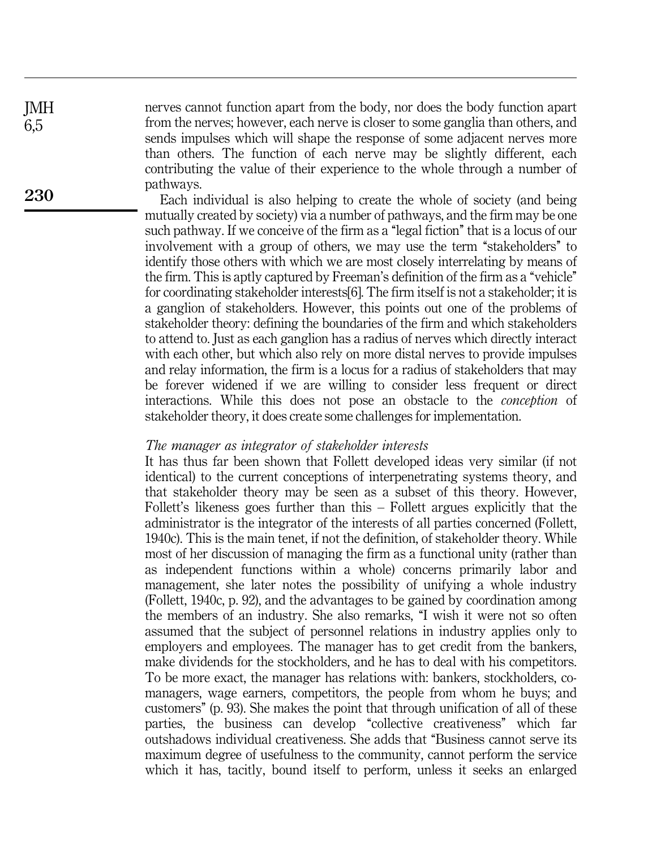**IMH** nerves cannot function apart from the body, nor does the body function apart from the nerves; however, each nerve is closer to some ganglia than others, and 6.5 sends impulses which will shape the response of some adjacent nerves more than others. The function of each nerve may be slightly different, each contributing the value of their experience to the whole through a number of pathways. 230

Each individual is also helping to create the whole of society (and being mutually created by society) via a number of pathways, and the firm may be one such pathway. If we conceive of the firm as a "legal fiction" that is a locus of our involvement with a group of others, we may use the term "stakeholders" to identify those others with which we are most closely interrelating by means of the firm. This is aptly captured by Freeman's definition of the firm as a "vehicle" for coordinating stakeholder interests [6]. The firm itself is not a stakeholder; it is a ganglion of stakeholders. However, this points out one of the problems of stakeholder theory: defining the boundaries of the firm and which stakeholders to attend to. Just as each ganglion has a radius of nerves which directly interact with each other, but which also rely on more distal nerves to provide impulses and relay information, the firm is a locus for a radius of stakeholders that may be forever widened if we are willing to consider less frequent or direct interactions. While this does not pose an obstacle to the *conception* of stakeholder theory, it does create some challenges for implementation.

## The manager as integrator of stakeholder interests

It has thus far been shown that Follett developed ideas very similar (if not identical) to the current conceptions of interpenetrating systems theory, and that stakeholder theory may be seen as a subset of this theory. However, Follett's likeness goes further than this – Follett argues explicitly that the administrator is the integrator of the interests of all parties concerned (Follett, 1940c). This is the main tenet, if not the definition, of stakeholder theory. While most of her discussion of managing the firm as a functional unity (rather than as independent functions within a whole) concerns primarily labor and management, she later notes the possibility of unifying a whole industry (Follett, 1940c, p. 92), and the advantages to be gained by coordination among the members of an industry. She also remarks, "I wish it were not so often assumed that the subject of personnel relations in industry applies only to employers and employees. The manager has to get credit from the bankers, make dividends for the stockholders, and he has to deal with his competitors. To be more exact, the manager has relations with: bankers, stockholders, comanagers, wage earners, competitors, the people from whom he buys; and customers" (p. 93). She makes the point that through unification of all of these parties, the business can develop "collective creativeness" which far outshadows individual creativeness. She adds that "Business cannot serve its maximum degree of usefulness to the community, cannot perform the service which it has, tacitly, bound itself to perform, unless it seeks an enlarged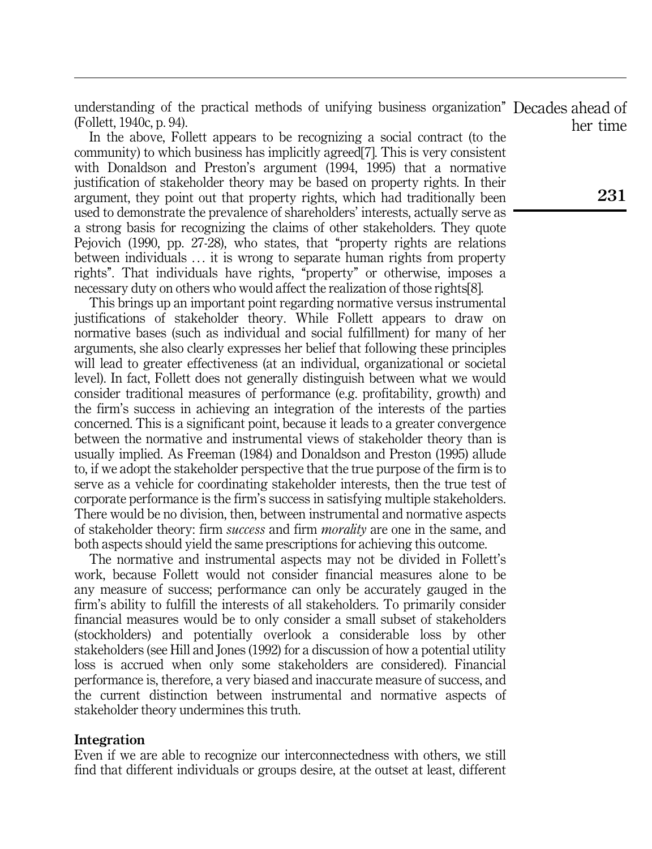understanding of the practical methods of unifying business organization" Decades ahead of (Follett, 1940c, p. 94). her time

In the above, Follett appears to be recognizing a social contract (to the community) to which business has implicitly agreed [7]. This is very consistent with Donaldson and Preston's argument (1994, 1995) that a normative justification of stakeholder theory may be based on property rights. In their argument, they point out that property rights, which had traditionally been used to demonstrate the prevalence of shareholders' interests, actually serve as a strong basis for recognizing the claims of other stakeholders. They quote Pejovich (1990, pp. 27-28), who states, that "property rights are relations between individuals ... it is wrong to separate human rights from property rights". That individuals have rights, "property" or otherwise, imposes a necessary duty on others who would affect the realization of those rights [8].

This brings up an important point regarding normative versus instrumental justifications of stakeholder theory. While Follett appears to draw on normative bases (such as individual and social fulfillment) for many of her arguments, she also clearly expresses her belief that following these principles will lead to greater effectiveness (at an individual, organizational or societal level). In fact, Follett does not generally distinguish between what we would consider traditional measures of performance (e.g. profitability, growth) and the firm's success in achieving an integration of the interests of the parties concerned. This is a significant point, because it leads to a greater convergence between the normative and instrumental views of stakeholder theory than is usually implied. As Freeman (1984) and Donaldson and Preston (1995) allude to, if we adopt the stakeholder perspective that the true purpose of the firm is to serve as a vehicle for coordinating stakeholder interests, then the true test of corporate performance is the firm's success in satisfying multiple stakeholders. There would be no division, then, between instrumental and normative aspects of stakeholder theory: firm *success* and firm *morality* are one in the same, and both aspects should yield the same prescriptions for achieving this outcome.

The normative and instrumental aspects may not be divided in Follett's work, because Follett would not consider financial measures alone to be any measure of success; performance can only be accurately gauged in the firm's ability to fulfill the interests of all stakeholders. To primarily consider financial measures would be to only consider a small subset of stakeholders (stockholders) and potentially overlook a considerable loss by other stakeholders (see Hill and Jones (1992) for a discussion of how a potential utility loss is accrued when only some stakeholders are considered). Financial performance is, therefore, a very biased and inaccurate measure of success, and the current distinction between instrumental and normative aspects of stakeholder theory undermines this truth.

## **Integration**

Even if we are able to recognize our interconnectedness with others, we still find that different individuals or groups desire, at the outset at least, different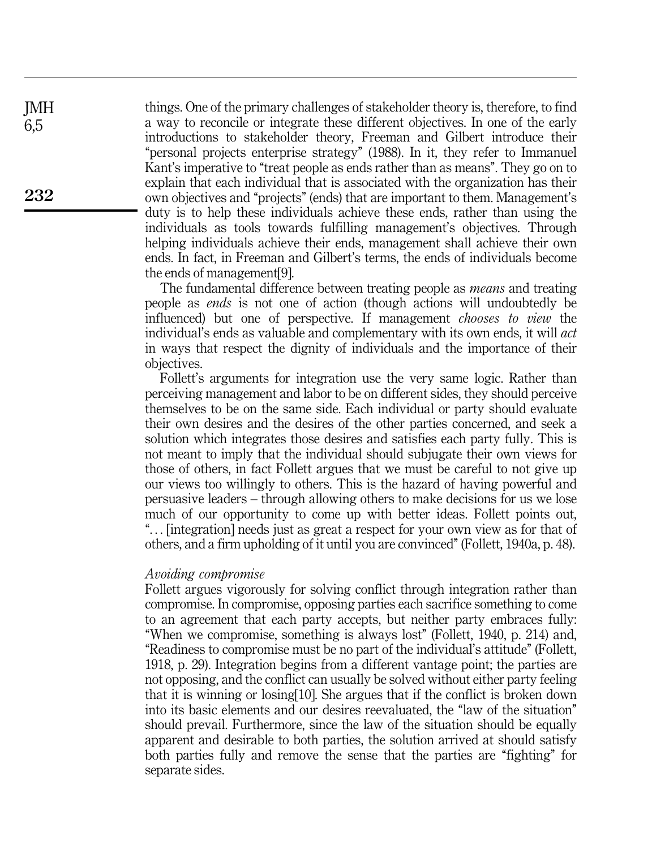things. One of the primary challenges of stakeholder theory is, therefore, to find a way to reconcile or integrate these different objectives. In one of the early introductions to stakeholder theory, Freeman and Gilbert introduce their "personal projects enterprise strategy" (1988). In it, they refer to Immanuel Kant's imperative to "treat people as ends rather than as means". They go on to explain that each individual that is associated with the organization has their own objectives and "projects" (ends) that are important to them. Management's duty is to help these individuals achieve these ends, rather than using the individuals as tools towards fulfilling management's objectives. Through helping individuals achieve their ends, management shall achieve their own ends. In fact, in Freeman and Gilbert's terms, the ends of individuals become the ends of management [9].

The fundamental difference between treating people as *means* and treating people as *ends* is not one of action (though actions will undoubtedly be influenced) but one of perspective. If management *chooses to view* the individual's ends as valuable and complementary with its own ends, it will act in ways that respect the dignity of individuals and the importance of their objectives.

Follett's arguments for integration use the very same logic. Rather than perceiving management and labor to be on different sides, they should perceive themselves to be on the same side. Each individual or party should evaluate their own desires and the desires of the other parties concerned, and seek a solution which integrates those desires and satisfies each party fully. This is not meant to imply that the individual should subjugate their own views for those of others, in fact Follett argues that we must be careful to not give up our views too willingly to others. This is the hazard of having powerful and persuasive leaders – through allowing others to make decisions for us we lose much of our opportunity to come up with better ideas. Follett points out, "... [integration] needs just as great a respect for your own view as for that of others, and a firm upholding of it until you are convinced" (Follett, 1940a, p. 48).

#### *Avoiding compromise*

Follett argues vigorously for solving conflict through integration rather than compromise. In compromise, opposing parties each sacrifice something to come to an agreement that each party accepts, but neither party embraces fully: "When we compromise, something is always lost" (Follett, 1940, p. 214) and, "Readiness to compromise must be no part of the individual's attitude" (Follett, 1918, p. 29). Integration begins from a different vantage point; the parties are not opposing, and the conflict can usually be solved without either party feeling that it is winning or losing [10]. She argues that if the conflict is broken down into its basic elements and our desires reevaluated, the "law of the situation" should prevail. Furthermore, since the law of the situation should be equally apparent and desirable to both parties, the solution arrived at should satisfy both parties fully and remove the sense that the parties are "fighting" for separate sides.

**IMH**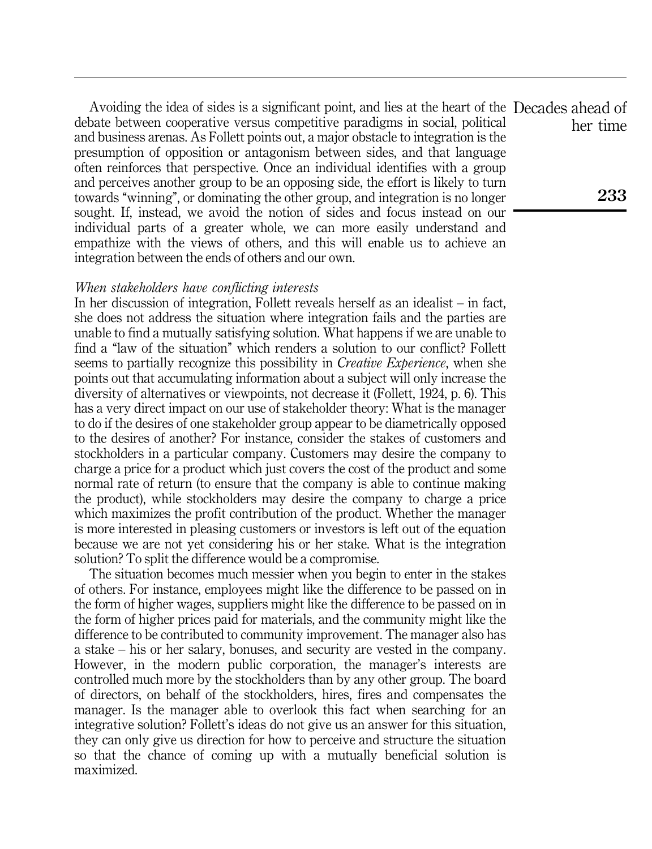Avoiding the idea of sides is a significant point, and lies at the heart of the Decades ahead of debate between cooperative versus competitive paradigms in social, political and business arenas. As Follett points out, a major obstacle to integration is the presumption of opposition or antagonism between sides, and that language often reinforces that perspective. Once an individual identifies with a group and perceives another group to be an opposing side, the effort is likely to turn towards "winning", or dominating the other group, and integration is no longer sought. If, instead, we avoid the notion of sides and focus instead on our individual parts of a greater whole, we can more easily understand and empathize with the views of others, and this will enable us to achieve an integration between the ends of others and our own.

# When stakeholders have conflicting interests

In her discussion of integration, Follett reveals herself as an idealist  $-$  in fact, she does not address the situation where integration fails and the parties are unable to find a mutually satisfying solution. What happens if we are unable to find a "law of the situation" which renders a solution to our conflict? Follett seems to partially recognize this possibility in *Creative Experience*, when she points out that accumulating information about a subject will only increase the diversity of alternatives or viewpoints, not decrease it (Follett, 1924, p. 6). This has a very direct impact on our use of stakeholder theory: What is the manager to do if the desires of one stakeholder group appear to be diametrically opposed to the desires of another? For instance, consider the stakes of customers and stockholders in a particular company. Customers may desire the company to charge a price for a product which just covers the cost of the product and some normal rate of return (to ensure that the company is able to continue making the product), while stockholders may desire the company to charge a price which maximizes the profit contribution of the product. Whether the manager is more interested in pleasing customers or investors is left out of the equation because we are not yet considering his or her stake. What is the integration solution? To split the difference would be a compromise.

The situation becomes much messier when you begin to enter in the stakes of others. For instance, employees might like the difference to be passed on in the form of higher wages, suppliers might like the difference to be passed on in the form of higher prices paid for materials, and the community might like the difference to be contributed to community improvement. The manager also has a stake – his or her salary, bonuses, and security are vested in the company. However, in the modern public corporation, the manager's interests are controlled much more by the stockholders than by any other group. The board of directors, on behalf of the stockholders, hires, fires and compensates the manager. Is the manager able to overlook this fact when searching for an integrative solution? Follett's ideas do not give us an answer for this situation, they can only give us direction for how to perceive and structure the situation so that the chance of coming up with a mutually beneficial solution is maximized.

233

her time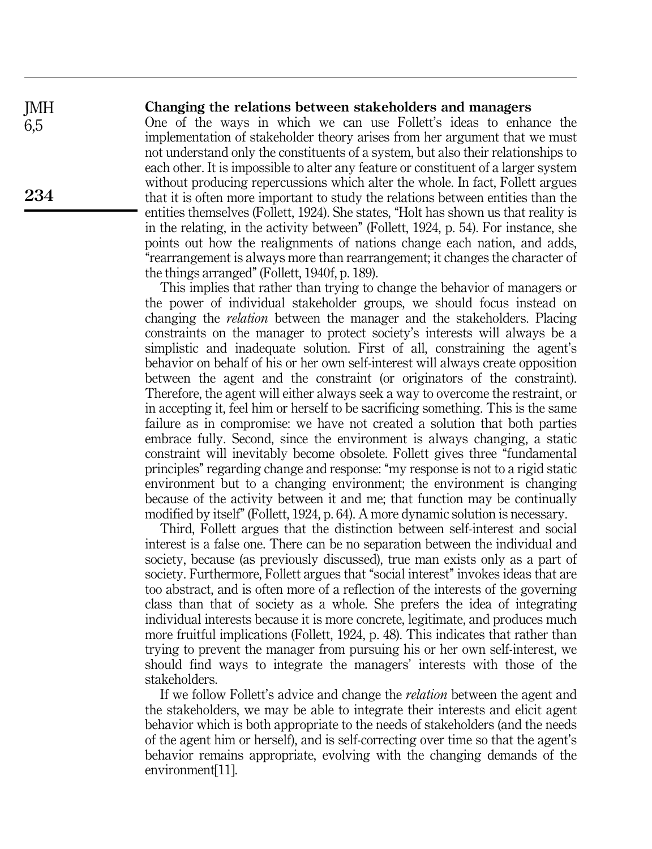## Changing the relations between stakeholders and managers

One of the ways in which we can use Follett's ideas to enhance the implementation of stakeholder theory arises from her argument that we must not understand only the constituents of a system, but also their relationships to each other. It is impossible to alter any feature or constituent of a larger system without producing repercussions which alter the whole. In fact, Follett argues that it is often more important to study the relations between entities than the entities themselves (Follett, 1924). She states, "Holt has shown us that reality is in the relating, in the activity between" (Follett, 1924, p. 54). For instance, she points out how the realignments of nations change each nation, and adds, "rearrangement is always more than rearrangement; it changes the character of the things arranged" (Follett, 1940f, p. 189).

This implies that rather than trying to change the behavior of managers or the power of individual stakeholder groups, we should focus instead on changing the *relation* between the manager and the stakeholders. Placing constraints on the manager to protect society's interests will always be a simplistic and inadequate solution. First of all, constraining the agent's behavior on behalf of his or her own self-interest will always create opposition between the agent and the constraint (or originators of the constraint). Therefore, the agent will either always seek a way to overcome the restraint, or in accepting it, feel him or herself to be sacrificing something. This is the same failure as in compromise: we have not created a solution that both parties embrace fully. Second, since the environment is always changing, a static constraint will inevitably become obsolete. Follett gives three "fundamental" principles" regarding change and response: "my response is not to a rigid static environment but to a changing environment; the environment is changing because of the activity between it and me; that function may be continually modified by itself" (Follett, 1924, p. 64). A more dynamic solution is necessary.

Third, Follett argues that the distinction between self-interest and social interest is a false one. There can be no separation between the individual and society, because (as previously discussed), true man exists only as a part of society. Furthermore, Follett argues that "social interest" invokes ideas that are too abstract, and is often more of a reflection of the interests of the governing class than that of society as a whole. She prefers the idea of integrating individual interests because it is more concrete, legitimate, and produces much more fruitful implications (Follett, 1924, p. 48). This indicates that rather than trying to prevent the manager from pursuing his or her own self-interest, we should find ways to integrate the managers' interests with those of the stakeholders.

If we follow Follett's advice and change the *relation* between the agent and the stakeholders, we may be able to integrate their interests and elicit agent behavior which is both appropriate to the needs of stakeholders (and the needs of the agent him or herself), and is self-correcting over time so that the agent's behavior remains appropriate, evolving with the changing demands of the environment[11].

**IMH**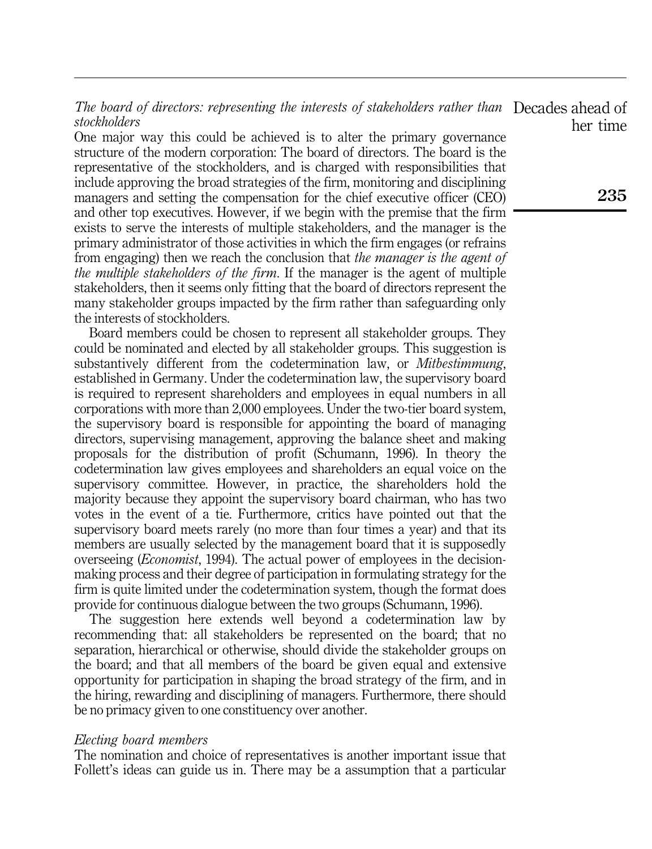The board of directors: representing the interests of stakeholders rather than Decades ahead of stockholders her time

One major way this could be achieved is to alter the primary governance structure of the modern corporation: The board of directors. The board is the representative of the stockholders, and is charged with responsibilities that include approving the broad strategies of the firm, monitoring and disciplining managers and setting the compensation for the chief executive officer (CEO) and other top executives. However, if we begin with the premise that the firm exists to serve the interests of multiple stakeholders, and the manager is the primary administrator of those activities in which the firm engages (or refrains from engaging) then we reach the conclusion that the manager is the agent of *the multiple stakeholders of the firm.* If the manager is the agent of multiple stakeholders, then it seems only fitting that the board of directors represent the many stakeholder groups impacted by the firm rather than safeguarding only the interests of stockholders.

Board members could be chosen to represent all stakeholder groups. They could be nominated and elected by all stakeholder groups. This suggestion is substantively different from the codetermination law, or *Mithestimmung*, established in Germany. Under the codetermination law, the supervisory board is required to represent shareholders and employees in equal numbers in all corporations with more than 2,000 employees. Under the two-tier board system, the supervisory board is responsible for appointing the board of managing directors, supervising management, approving the balance sheet and making proposals for the distribution of profit (Schumann, 1996). In theory the codetermination law gives employees and shareholders an equal voice on the supervisory committee. However, in practice, the shareholders hold the majority because they appoint the supervisory board chairman, who has two votes in the event of a tie. Furthermore, critics have pointed out that the supervisory board meets rarely (no more than four times a year) and that its members are usually selected by the management board that it is supposedly overseeing *(Economist, 1994)*. The actual power of employees in the decisionmaking process and their degree of participation in formulating strategy for the firm is quite limited under the codetermination system, though the format does provide for continuous dialogue between the two groups (Schumann, 1996).

The suggestion here extends well beyond a codetermination law by recommending that: all stakeholders be represented on the board; that no separation, hierarchical or otherwise, should divide the stakeholder groups on the board; and that all members of the board be given equal and extensive opportunity for participation in shaping the broad strategy of the firm, and in the hiring, rewarding and disciplining of managers. Furthermore, there should be no primacy given to one constituency over another.

## Electing board members

The nomination and choice of representatives is another important issue that Follett's ideas can guide us in. There may be a assumption that a particular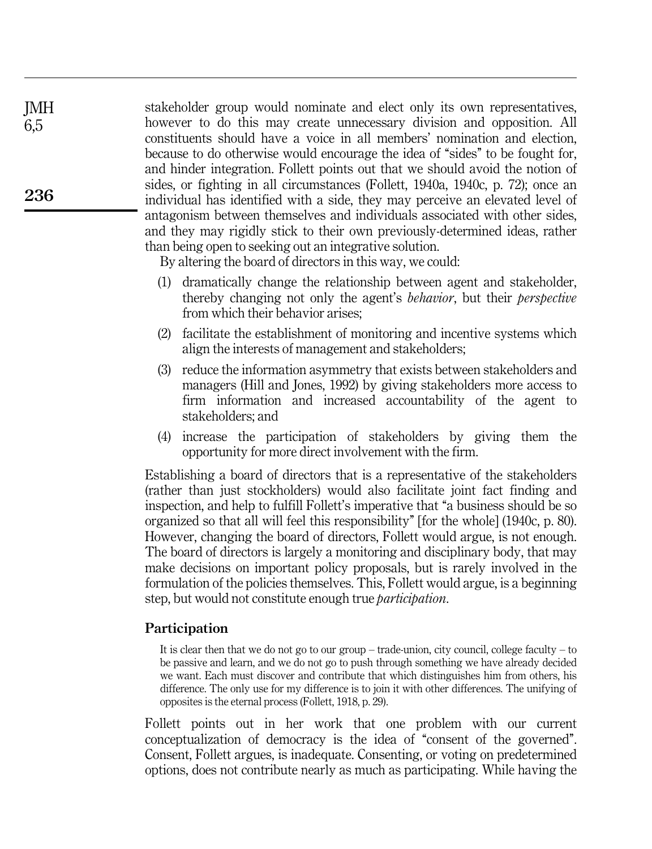**IMH** stakeholder group would nominate and elect only its own representatives. however to do this may create unnecessary division and opposition. All constituents should have a voice in all members' nomination and election, because to do otherwise would encourage the idea of "sides" to be fought for, and hinder integration. Follett points out that we should avoid the notion of sides, or fighting in all circumstances (Follett, 1940a, 1940c, p. 72); once an 236 individual has identified with a side, they may perceive an elevated level of antagonism between themselves and individuals associated with other sides, and they may rigidly stick to their own previously-determined ideas, rather than being open to seeking out an integrative solution.

By altering the board of directors in this way, we could:

- (1) dramatically change the relationship between agent and stakeholder, thereby changing not only the agent's *behavior*, but their *perspective* from which their behavior arises;
- (2) facilitate the establishment of monitoring and incentive systems which align the interests of management and stakeholders;
- (3) reduce the information asymmetry that exists between stakeholders and managers (Hill and Jones, 1992) by giving stakeholders more access to firm information and increased accountability of the agent to stakeholders: and
- (4) increase the participation of stakeholders by giving them the opportunity for more direct involvement with the firm.

Establishing a board of directors that is a representative of the stakeholders (rather than just stockholders) would also facilitate joint fact finding and inspection, and help to fulfill Follett's imperative that "a business should be so organized so that all will feel this responsibility" [for the whole] (1940c, p. 80). However, changing the board of directors, Follett would argue, is not enough. The board of directors is largely a monitoring and disciplinary body, that may make decisions on important policy proposals, but is rarely involved in the formulation of the policies themselves. This, Follett would argue, is a beginning step, but would not constitute enough true *participation*.

# Participation

6.5

It is clear then that we do not go to our group  $-$  trade-union, city council, college faculty  $-$  to be passive and learn, and we do not go to push through something we have already decided we want. Each must discover and contribute that which distinguishes him from others, his difference. The only use for my difference is to join it with other differences. The unifying of opposites is the eternal process (Follett, 1918, p. 29).

Follett points out in her work that one problem with our current conceptualization of democracy is the idea of "consent of the governed". Consent, Follett argues, is inadequate. Consenting, or voting on predetermined options, does not contribute nearly as much as participating. While having the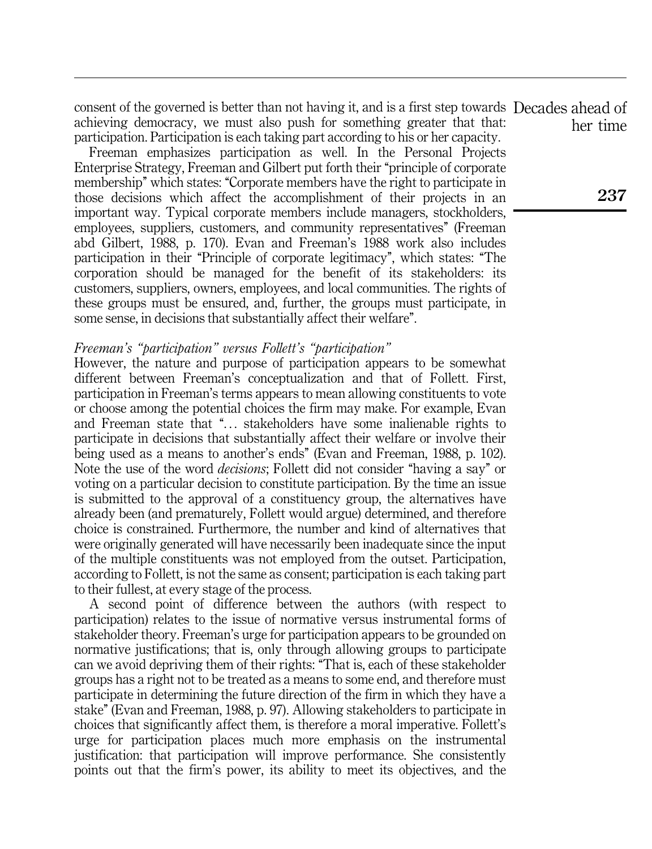consent of the governed is better than not having it, and is a first step towards Decades ahead of achieving democracy, we must also push for something greater that that: her time participation. Participation is each taking part according to his or her capacity.

Freeman emphasizes participation as well. In the Personal Projects Enterprise Strategy, Freeman and Gilbert put forth their "principle of corporate" membership" which states: "Corporate members have the right to participate in those decisions which affect the accomplishment of their projects in an important way. Typical corporate members include managers, stockholders, employees, suppliers, customers, and community representatives" (Freeman abd Gilbert, 1988, p. 170). Evan and Freeman's 1988 work also includes participation in their "Principle of corporate legitimacy", which states: "The corporation should be managed for the benefit of its stakeholders: its customers, suppliers, owners, employees, and local communities. The rights of these groups must be ensured, and, further, the groups must participate, in some sense, in decisions that substantially affect their welfare".

#### Freeman's "participation" versus Follett's "participation"

However, the nature and purpose of participation appears to be somewhat different between Freeman's conceptualization and that of Follett. First, participation in Freeman's terms appears to mean allowing constituents to vote or choose among the potential choices the firm may make. For example, Evan and Freeman state that "... stakeholders have some inalienable rights to participate in decisions that substantially affect their welfare or involve their being used as a means to another's ends" (Evan and Freeman, 1988, p. 102). Note the use of the word *decisions*; Follett did not consider "having a say" or voting on a particular decision to constitute participation. By the time an issue is submitted to the approval of a constituency group, the alternatives have already been (and prematurely, Follett would argue) determined, and therefore choice is constrained. Furthermore, the number and kind of alternatives that were originally generated will have necessarily been inadequate since the input of the multiple constituents was not employed from the outset. Participation, according to Follett, is not the same as consent; participation is each taking part to their fullest, at every stage of the process.

A second point of difference between the authors (with respect to participation) relates to the issue of normative versus instrumental forms of stakeholder theory. Freeman's urge for participation appears to be grounded on normative justifications; that is, only through allowing groups to participate can we avoid depriving them of their rights: "That is, each of these stakeholder groups has a right not to be treated as a means to some end, and therefore must participate in determining the future direction of the firm in which they have a stake" (Evan and Freeman, 1988, p. 97). Allowing stakeholders to participate in choices that significantly affect them, is therefore a moral imperative. Follett's urge for participation places much more emphasis on the instrumental justification: that participation will improve performance. She consistently points out that the firm's power, its ability to meet its objectives, and the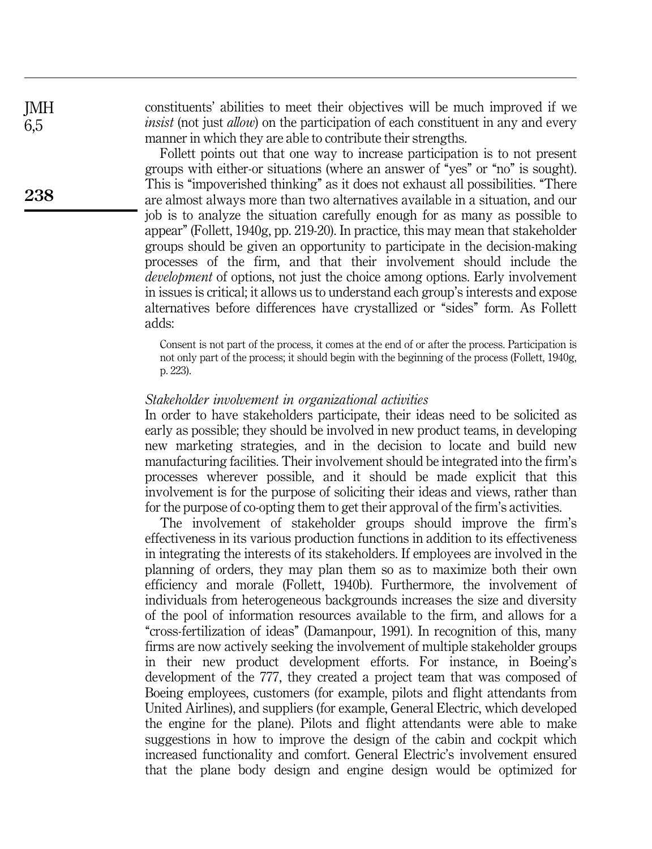constituents' abilities to meet their objectives will be much improved if we *insist* (not just *allow*) on the participation of each constituent in any and every manner in which they are able to contribute their strengths.

Follett points out that one way to increase participation is to not present groups with either-or situations (where an answer of "yes" or "no" is sought). This is "impoverished thinking" as it does not exhaust all possibilities. "There are almost always more than two alternatives available in a situation, and our job is to analyze the situation carefully enough for as many as possible to appear" (Follett, 1940g, pp. 219-20). In practice, this may mean that stakeholder groups should be given an opportunity to participate in the decision-making processes of the firm, and that their involvement should include the *development* of options, not just the choice among options. Early involvement in issues is critical; it allows us to understand each group's interests and expose alternatives before differences have crystallized or "sides" form. As Follett adds·

Consent is not part of the process, it comes at the end of or after the process. Participation is not only part of the process; it should begin with the beginning of the process (Follett, 1940g, p. 223).

#### Stakeholder involvement in organizational activities

In order to have stakeholders participate, their ideas need to be solicited as early as possible; they should be involved in new product teams, in developing new marketing strategies, and in the decision to locate and build new manufacturing facilities. Their involvement should be integrated into the firm's processes wherever possible, and it should be made explicit that this involvement is for the purpose of soliciting their ideas and views, rather than for the purpose of co-opting them to get their approval of the firm's activities.

The involvement of stakeholder groups should improve the firm's effectiveness in its various production functions in addition to its effectiveness in integrating the interests of its stakeholders. If employees are involved in the planning of orders, they may plan them so as to maximize both their own efficiency and morale (Follett, 1940b). Furthermore, the involvement of individuals from heterogeneous backgrounds increases the size and diversity of the pool of information resources available to the firm, and allows for a "cross-fertilization of ideas" (Damanpour, 1991). In recognition of this, many firms are now actively seeking the involvement of multiple stakeholder groups in their new product development efforts. For instance, in Boeing's development of the 777, they created a project team that was composed of Boeing employees, customers (for example, pilots and flight attendants from United Airlines), and suppliers (for example, General Electric, which developed the engine for the plane). Pilots and flight attendants were able to make suggestions in how to improve the design of the cabin and cockpit which increased functionality and comfort. General Electric's involvement ensured that the plane body design and engine design would be optimized for

238

**IMH**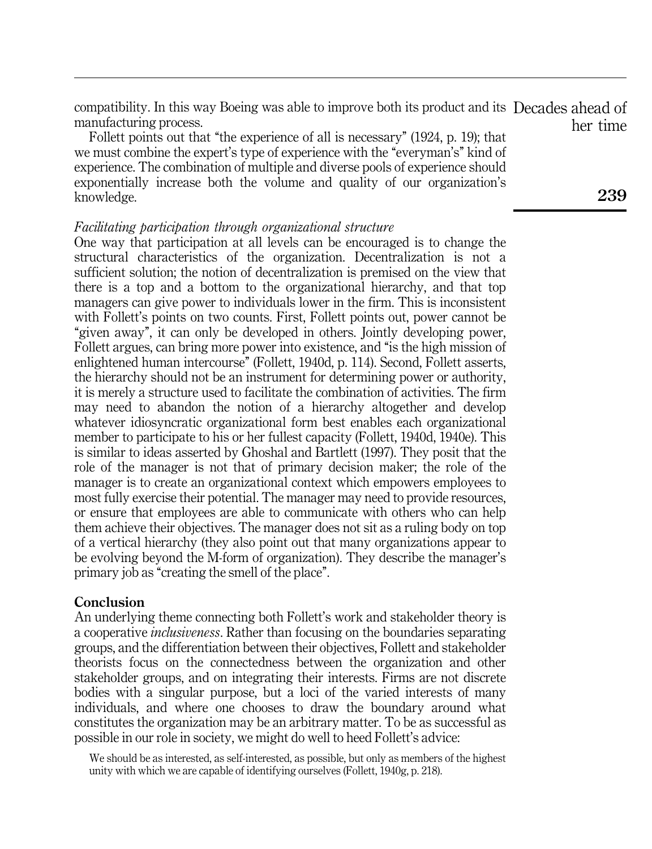compatibility. In this way Boeing was able to improve both its product and its Decades ahead of manufacturing process. her time

Follett points out that "the experience of all is necessary" (1924, p. 19); that we must combine the expert's type of experience with the "everyman's" kind of experience. The combination of multiple and diverse pools of experience should exponentially increase both the volume and quality of our organization's knowledge.

## Facilitating participation through organizational structure

One way that participation at all levels can be encouraged is to change the structural characteristics of the organization. Decentralization is not a sufficient solution; the notion of decentralization is premised on the view that there is a top and a bottom to the organizational hierarchy, and that top managers can give power to individuals lower in the firm. This is inconsistent with Follett's points on two counts. First, Follett points out, power cannot be "given away", it can only be developed in others. Jointly developing power, Follett argues, can bring more power into existence, and "is the high mission of enlightened human intercourse" (Follett, 1940d, p. 114). Second, Follett asserts, the hierarchy should not be an instrument for determining power or authority, it is merely a structure used to facilitate the combination of activities. The firm may need to abandon the notion of a hierarchy altogether and develop whatever idiosyncratic organizational form best enables each organizational member to participate to his or her fullest capacity (Follett, 1940d, 1940e). This is similar to ideas asserted by Ghoshal and Bartlett (1997). They posit that the role of the manager is not that of primary decision maker; the role of the manager is to create an organizational context which empowers employees to most fully exercise their potential. The manager may need to provide resources, or ensure that employees are able to communicate with others who can help them achieve their objectives. The manager does not sit as a ruling body on top of a vertical hierarchy (they also point out that many organizations appear to be evolving beyond the M-form of organization). They describe the manager's primary job as "creating the smell of the place".

# Conclusion

An underlying theme connecting both Follett's work and stakeholder theory is a cooperative *inclusiveness*. Rather than focusing on the boundaries separating groups, and the differentiation between their objectives, Follett and stakeholder theorists focus on the connectedness between the organization and other stakeholder groups, and on integrating their interests. Firms are not discrete bodies with a singular purpose, but a loci of the varied interests of many individuals, and where one chooses to draw the boundary around what constitutes the organization may be an arbitrary matter. To be as successful as possible in our role in society, we might do well to heed Follett's advice:

We should be as interested, as self-interested, as possible, but only as members of the highest unity with which we are capable of identifying ourselves (Follett, 1940g, p. 218).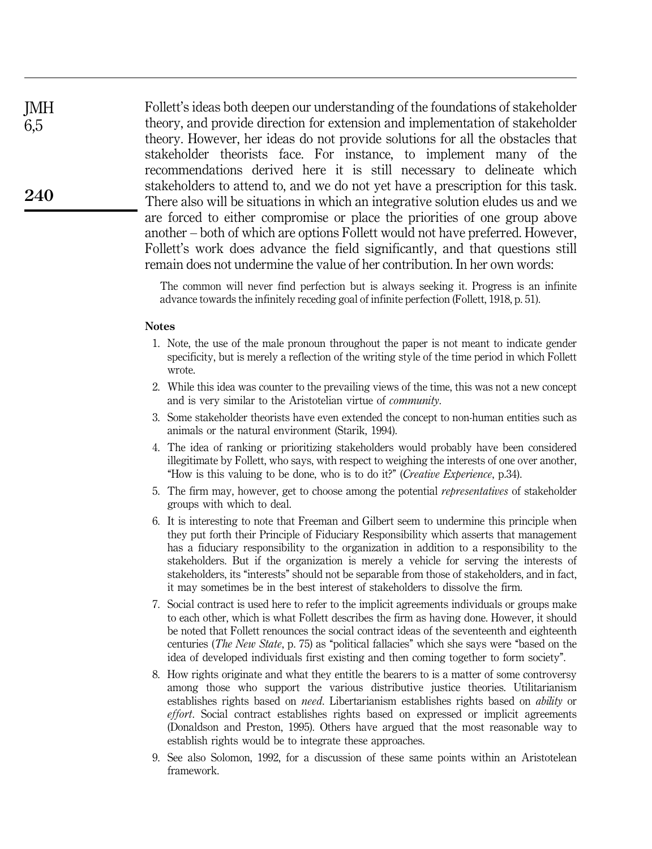Follett's ideas both deepen our understanding of the foundations of stakeholder theory, and provide direction for extension and implementation of stakeholder theory. However, her ideas do not provide solutions for all the obstacles that stakeholder theorists face. For instance, to implement many of the recommendations derived here it is still necessary to delineate which stakeholders to attend to, and we do not yet have a prescription for this task. There also will be situations in which an integrative solution eludes us and we are forced to either compromise or place the priorities of one group above another – both of which are options Follett would not have preferred. However, Follett's work does advance the field significantly, and that questions still remain does not undermine the value of her contribution. In her own words:

> The common will never find perfection but is always seeking it. Progress is an infinite advance towards the infinitely receding goal of infinite perfection (Follett, 1918, p. 51).

#### **Notes**

**IMH** 

240

- 1. Note, the use of the male pronoun throughout the paper is not meant to indicate gender specificity, but is merely a reflection of the writing style of the time period in which Follett wrote.
- 2. While this idea was counter to the prevailing views of the time, this was not a new concept and is very similar to the Aristotelian virtue of *community*.
- 3. Some stakeholder theorists have even extended the concept to non-human entities such as animals or the natural environment (Starik, 1994).
- 4. The idea of ranking or prioritizing stakeholders would probably have been considered illegitimate by Follett, who says, with respect to weighing the interests of one over another, "How is this valuing to be done, who is to do it?" (Creative Experience, p.34).
- 5. The firm may, however, get to choose among the potential *representatives* of stakeholder groups with which to deal.
- 6. It is interesting to note that Freeman and Gilbert seem to undermine this principle when they put forth their Principle of Fiduciary Responsibility which asserts that management has a fiduciary responsibility to the organization in addition to a responsibility to the stakeholders. But if the organization is merely a vehicle for serving the interests of stakeholders, its "interests" should not be separable from those of stakeholders, and in fact, it may sometimes be in the best interest of stakeholders to dissolve the firm.
- 7. Social contract is used here to refer to the implicit agreements individuals or groups make to each other, which is what Follett describes the firm as having done. However, it should be noted that Follett renounces the social contract ideas of the seventeenth and eighteenth centuries (The New State, p. 75) as "political fallacies" which she says were "based on the idea of developed individuals first existing and then coming together to form society".
- 8. How rights originate and what they entitle the bearers to is a matter of some controversy among those who support the various distributive justice theories. Utilitarianism establishes rights based on *need*. Libertarianism establishes rights based on *ability* or *effort*. Social contract establishes rights based on expressed or implicit agreements (Donaldson and Preston, 1995). Others have argued that the most reasonable way to establish rights would be to integrate these approaches.
- 9. See also Solomon, 1992, for a discussion of these same points within an Aristotelean framework.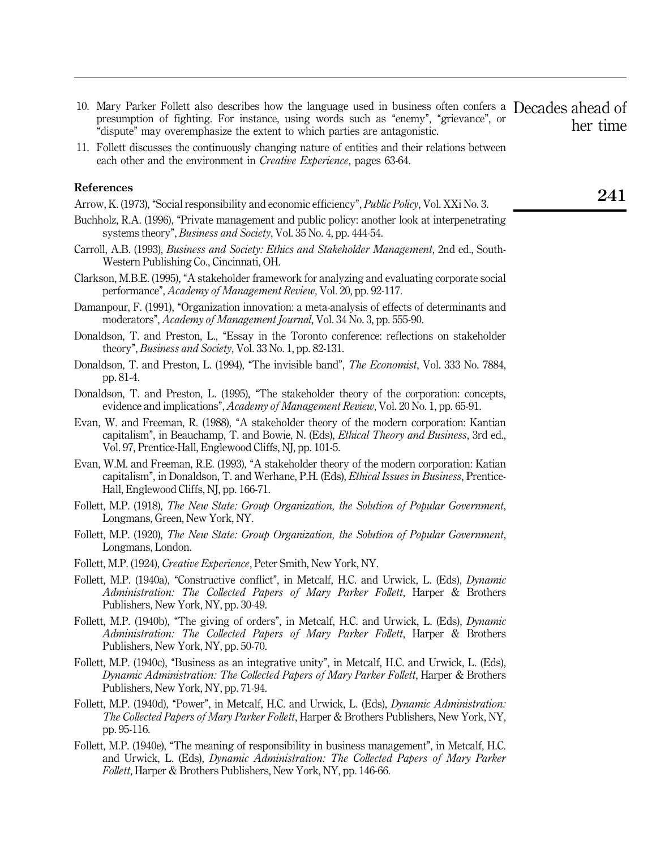- 10. Mary Parker Follett also describes how the language used in business often confers a  $\Gamma$   $\Gamma$   $\Gamma$ presumption of fighting. For instance, using words such as "enemy", "grievance", or her time "dispute" may overemphasize the extent to which parties are antagonistic.
- 11. Follett discusses the continuously changing nature of entities and their relations between each other and the environment in *Creative Experience*, pages 63-64.

#### **References**

Arrow, K. (1973), "Social responsibility and economic efficiency", *Public Policy*, Vol. XXi No. 3.

- Buchholz, R.A. (1996), "Private management and public policy: another look at interpenetrating systems theory", *Business and Society*, Vol. 35 No. 4, pp. 444-54.
- Carroll, A.B. (1993), Business and Society: Ethics and Stakeholder Management, 2nd ed., South-Western Publishing Co., Cincinnati, OH.
- Clarkson, M.B.E. (1995), "A stakeholder framework for analyzing and evaluating corporate social performance", Academy of Management Review, Vol. 20, pp. 92-117.
- Damanpour, F. (1991), "Organization innovation: a meta-analysis of effects of determinants and moderators", Academy of Management Journal, Vol. 34 No. 3, pp. 555-90.
- Donaldson, T. and Preston, L., "Essay in the Toronto conference: reflections on stakeholder theory", *Business and Society*, Vol. 33 No. 1, pp. 82-131.
- Donaldson, T. and Preston, L. (1994), "The invisible band", *The Economist*, Vol. 333 No. 7884, pp. 81-4.
- Donaldson, T. and Preston, L. (1995), "The stakeholder theory of the corporation: concepts, evidence and implications", Academy of Management Review, Vol. 20 No. 1, pp. 65-91.
- Evan, W. and Freeman, R. (1988), "A stakeholder theory of the modern corporation: Kantian capitalism", in Beauchamp, T. and Bowie, N. (Eds), *Ethical Theory and Business*, 3rd ed., Vol. 97. Prentice-Hall. Englewood Cliffs. NI. pp. 101-5.
- Evan, W.M. and Freeman, R.E. (1993), "A stakeholder theory of the modern corporation: Katian capitalism", in Donaldson, T. and Werhane, P.H. (Eds), *Ethical Issues in Business*, Prentice-Hall, Englewood Cliffs, NJ, pp. 166-71.
- Follett, M.P. (1918), The New State: Group Organization, the Solution of Popular Government, Longmans, Green, New York, NY.
- Follett, M.P. (1920). The New State: Group Organization, the Solution of Popular Government. Longmans, London.
- Follett, M.P. (1924), Creative Experience, Peter Smith, New York, NY.
- Follett, M.P. (1940a), "Constructive conflict", in Metcalf, H.C. and Urwick, L. (Eds), Dynamic Administration: The Collected Papers of Mary Parker Follett, Harper & Brothers Publishers, New York, NY, pp. 30-49.
- Follett, M.P. (1940b), "The giving of orders", in Metcalf, H.C. and Urwick, L. (Eds), Dynamic Administration: The Collected Papers of Mary Parker Follett, Harper & Brothers Publishers, New York, NY, pp. 50-70.
- Follett, M.P. (1940c), "Business as an integrative unity", in Metcalf, H.C. and Urwick, L. (Eds), Dynamic Administration: The Collected Papers of Mary Parker Follett, Harper & Brothers Publishers, New York, NY, pp. 71-94.
- Follett, M.P. (1940d), "Power", in Metcalf, H.C. and Urwick, L. (Eds), Dynamic Administration: The Collected Papers of Mary Parker Follett, Harper & Brothers Publishers, New York, NY, pp. 95-116.
- Follett, M.P. (1940e), "The meaning of responsibility in business management", in Metcalf, H.C. and Urwick, L. (Eds), Dynamic Administration: The Collected Papers of Mary Parker Follett, Harper & Brothers Publishers, New York, NY, pp. 146-66.